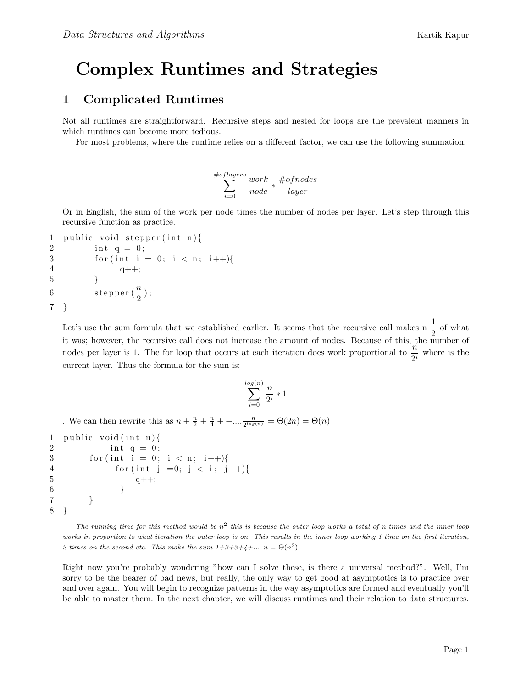## Complex Runtimes and Strategies

## 1 Complicated Runtimes

Not all runtimes are straightforward. Recursive steps and nested for loops are the prevalent manners in which runtimes can become more tedious.

For most problems, where the runtime relies on a different factor, we can use the following summation.

$$
\sum_{i=0}^{\# of layers} \frac{work}{node} * \frac{\# of nodes}{layer}
$$

Or in English, the sum of the work per node times the number of nodes per layer. Let's step through this recursive function as practice.

```
1 public void stepper (int n) {
2 int q = 0;
3 for (int i = 0; i < n; i++){
4 q_{++};
5 }
6 stepper \left(\frac{n}{2}\right);
7 }
```
Let's use the sum formula that we established earlier. It seems that the recursive call makes n  $\frac{1}{2}$  of what it was; however, the recursive call does not increase the amount of nodes. Because of this, the number of nodes per layer is 1. The for loop that occurs at each iteration does work proportional to  $\frac{n}{2^i}$  where is the current layer. Thus the formula for the sum is:

$$
\sum_{i=0}^{\log(n)} \frac{n}{2^i} * 1
$$

. We can then rewrite this as  $n + \frac{n}{2} + \frac{n}{4} + \dots \frac{n}{2^{\log(n)}} = \Theta(2n) = \Theta(n)$ 

```
1 public void (int n){
2 int q = 0;
3 for (int i = 0; i < n; i++){
4 for (int j =0; j < i; j++){
5 q++;6 }
7 }
8 }
```
The running time for this method would be  $n^2$  this is because the outer loop works a total of n times and the inner loop works in proportion to what iteration the outer loop is on. This results in the inner loop working 1 time on the first iteration, 2 times on the second etc. This make the sum  $1+2+3+4+... n = \Theta(n^2)$ 

Right now you're probably wondering "how can I solve these, is there a universal method?". Well, I'm sorry to be the bearer of bad news, but really, the only way to get good at asymptotics is to practice over and over again. You will begin to recognize patterns in the way asymptotics are formed and eventually you'll be able to master them. In the next chapter, we will discuss runtimes and their relation to data structures.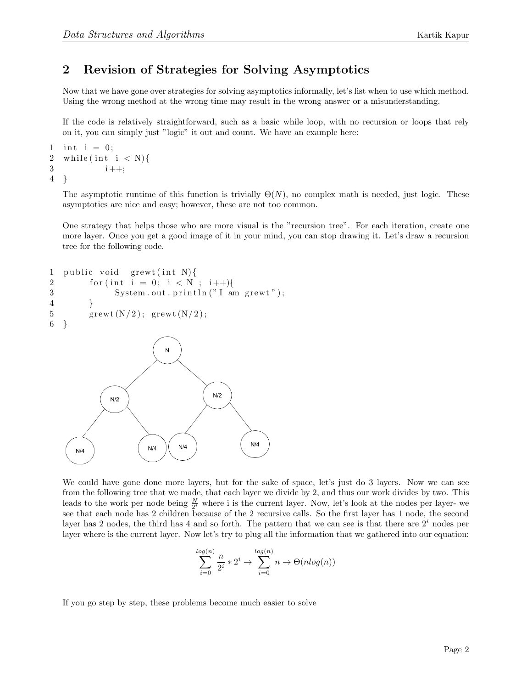## 2 Revision of Strategies for Solving Asymptotics

Now that we have gone over strategies for solving asymptotics informally, let's list when to use which method. Using the wrong method at the wrong time may result in the wrong answer or a misunderstanding.

If the code is relatively straightforward, such as a basic while loop, with no recursion or loops that rely on it, you can simply just "logic" it out and count. We have an example here:

```
1 int i = 0;
2 while (int i < N) {
3 i++;
4 }
```
The asymptotic runtime of this function is trivially  $\Theta(N)$ , no complex math is needed, just logic. These asymptotics are nice and easy; however, these are not too common.

One strategy that helps those who are more visual is the "recursion tree". For each iteration, create one more layer. Once you get a good image of it in your mind, you can stop drawing it. Let's draw a recursion tree for the following code.

```
1 public void grewt (int N)\{2 for (int i = 0; i < N ; i++){
3 System . out . println ("I am grewt");
4 }
5 grewt (N/2); grewt (N/2);
6 }
                    N
```


We could have gone done more layers, but for the sake of space, let's just do 3 layers. Now we can see from the following tree that we made, that each layer we divide by 2, and thus our work divides by two. This leads to the work per node being  $\frac{N}{2^i}$  where i is the current layer. Now, let's look at the nodes per layer-we see that each node has 2 children because of the 2 recursive calls. So the first layer has 1 node, the second layer has 2 nodes, the third has 4 and so forth. The pattern that we can see is that there are  $2<sup>i</sup>$  nodes per layer where is the current layer. Now let's try to plug all the information that we gathered into our equation:

$$
\sum_{i=0}^{\log(n)} \frac{n}{2^i} * 2^i \to \sum_{i=0}^{\log(n)} n \to \Theta(n \log(n))
$$

If you go step by step, these problems become much easier to solve